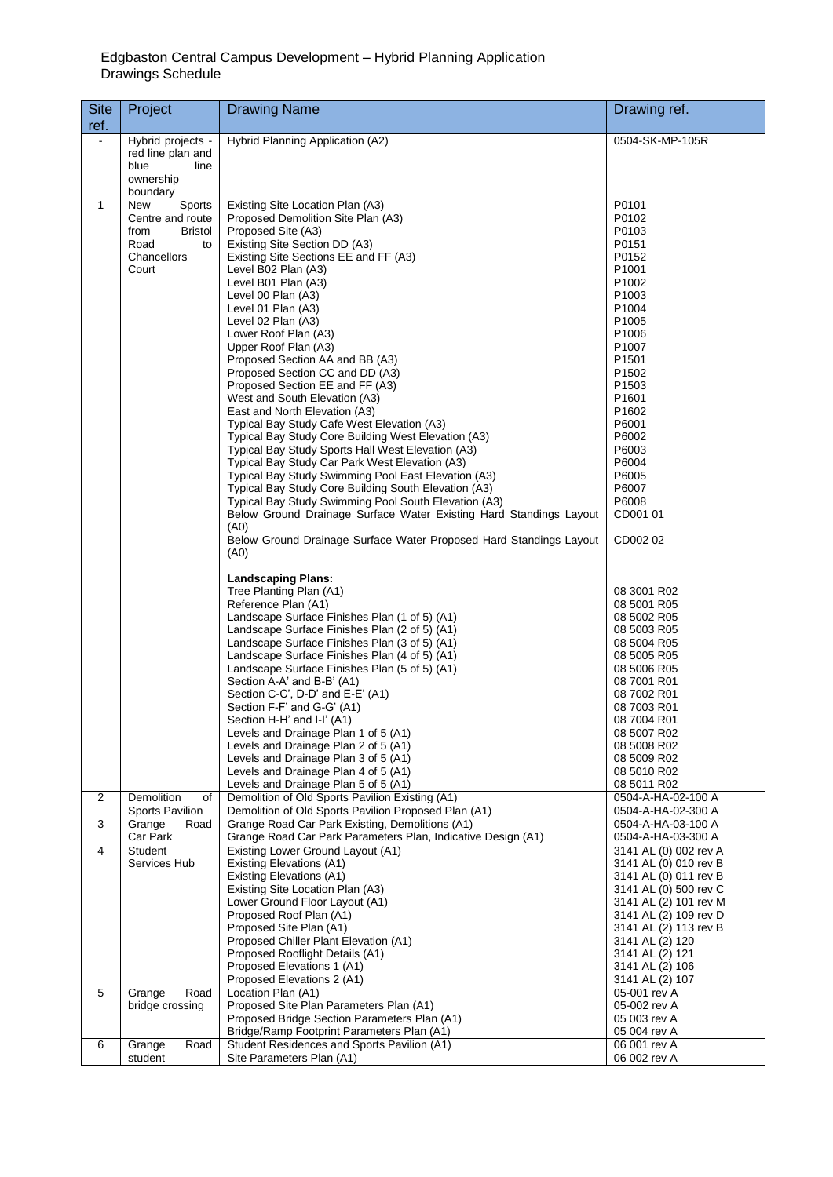## Edgbaston Central Campus Development – Hybrid Planning Application Drawings Schedule

| <b>Site</b><br>ref. | Project                                                                                    | <b>Drawing Name</b>                                                                                                                                                                                                                                                                                                                                                                                                                                                                                                                                                                                                                                                                                                                                                                                                                                                                                                                                                                                                                                                                                                                             | Drawing ref.                                                                                                                                                                                                                                                                                                                           |
|---------------------|--------------------------------------------------------------------------------------------|-------------------------------------------------------------------------------------------------------------------------------------------------------------------------------------------------------------------------------------------------------------------------------------------------------------------------------------------------------------------------------------------------------------------------------------------------------------------------------------------------------------------------------------------------------------------------------------------------------------------------------------------------------------------------------------------------------------------------------------------------------------------------------------------------------------------------------------------------------------------------------------------------------------------------------------------------------------------------------------------------------------------------------------------------------------------------------------------------------------------------------------------------|----------------------------------------------------------------------------------------------------------------------------------------------------------------------------------------------------------------------------------------------------------------------------------------------------------------------------------------|
|                     | Hybrid projects -<br>red line plan and<br>blue<br>line<br>ownership<br>boundary            | Hybrid Planning Application (A2)                                                                                                                                                                                                                                                                                                                                                                                                                                                                                                                                                                                                                                                                                                                                                                                                                                                                                                                                                                                                                                                                                                                | 0504-SK-MP-105R                                                                                                                                                                                                                                                                                                                        |
| $\mathbf{1}$        | New<br>Sports<br>Centre and route<br>from<br>Bristol<br>Road<br>to<br>Chancellors<br>Court | Existing Site Location Plan (A3)<br>Proposed Demolition Site Plan (A3)<br>Proposed Site (A3)<br>Existing Site Section DD (A3)<br>Existing Site Sections EE and FF (A3)<br>Level B02 Plan (A3)<br>Level B01 Plan (A3)<br>Level 00 Plan (A3)<br>Level 01 Plan (A3)<br>Level 02 Plan (A3)<br>Lower Roof Plan (A3)<br>Upper Roof Plan (A3)<br>Proposed Section AA and BB (A3)<br>Proposed Section CC and DD (A3)<br>Proposed Section EE and FF (A3)<br>West and South Elevation (A3)<br>East and North Elevation (A3)<br>Typical Bay Study Cafe West Elevation (A3)<br>Typical Bay Study Core Building West Elevation (A3)<br>Typical Bay Study Sports Hall West Elevation (A3)<br>Typical Bay Study Car Park West Elevation (A3)<br>Typical Bay Study Swimming Pool East Elevation (A3)<br>Typical Bay Study Core Building South Elevation (A3)<br>Typical Bay Study Swimming Pool South Elevation (A3)<br>Below Ground Drainage Surface Water Existing Hard Standings Layout<br>(A0)<br>Below Ground Drainage Surface Water Proposed Hard Standings Layout<br>(A0)<br><b>Landscaping Plans:</b><br>Tree Planting Plan (A1)<br>Reference Plan (A1) | P0101<br>P0102<br>P0103<br>P0151<br>P0152<br>P <sub>1001</sub><br>P1002<br>P <sub>1003</sub><br>P1004<br>P <sub>1005</sub><br>P1006<br>P1007<br>P <sub>1501</sub><br>P <sub>1502</sub><br>P1503<br>P1601<br>P1602<br>P6001<br>P6002<br>P6003<br>P6004<br>P6005<br>P6007<br>P6008<br>CD001 01<br>CD002 02<br>08 3001 R02<br>08 5001 R05 |
|                     |                                                                                            | Landscape Surface Finishes Plan (1 of 5) (A1)<br>Landscape Surface Finishes Plan (2 of 5) (A1)<br>Landscape Surface Finishes Plan (3 of 5) (A1)<br>Landscape Surface Finishes Plan (4 of 5) (A1)<br>Landscape Surface Finishes Plan (5 of 5) (A1)<br>Section A-A' and B-B' (A1)<br>Section C-C', D-D' and E-E' (A1)<br>Section F-F' and G-G' (A1)<br>Section H-H' and I-I' (A1)<br>Levels and Drainage Plan 1 of 5 (A1)<br>Levels and Drainage Plan 2 of 5 (A1)<br>Levels and Drainage Plan 3 of 5 (A1)<br>Levels and Drainage Plan 4 of 5 (A1)<br>Levels and Drainage Plan 5 of 5 (A1)                                                                                                                                                                                                                                                                                                                                                                                                                                                                                                                                                         | 08 5002 R05<br>08 5003 R05<br>08 5004 R05<br>08 5005 R05<br>08 5006 R05<br>08 7001 R01<br>08 7002 R01<br>08 7003 R01<br>08 7004 R01<br>08 5007 R02<br>08 5008 R02<br>08 5009 R02<br>08 5010 R02<br>08 5011 R02                                                                                                                         |
| 2                   | Demolition<br>of<br>Sports Pavilion                                                        | Demolition of Old Sports Pavilion Existing (A1)<br>Demolition of Old Sports Pavilion Proposed Plan (A1)                                                                                                                                                                                                                                                                                                                                                                                                                                                                                                                                                                                                                                                                                                                                                                                                                                                                                                                                                                                                                                         | 0504-A-HA-02-100 A<br>0504-A-HA-02-300 A                                                                                                                                                                                                                                                                                               |
| 3                   | Grange<br>Road<br>Car Park                                                                 | Grange Road Car Park Existing, Demolitions (A1)<br>Grange Road Car Park Parameters Plan, Indicative Design (A1)                                                                                                                                                                                                                                                                                                                                                                                                                                                                                                                                                                                                                                                                                                                                                                                                                                                                                                                                                                                                                                 | 0504-A-HA-03-100 A<br>0504-A-HA-03-300 A                                                                                                                                                                                                                                                                                               |
| 4                   | Student<br>Services Hub                                                                    | Existing Lower Ground Layout (A1)<br><b>Existing Elevations (A1)</b><br>Existing Elevations (A1)<br>Existing Site Location Plan (A3)<br>Lower Ground Floor Layout (A1)<br>Proposed Roof Plan (A1)<br>Proposed Site Plan (A1)<br>Proposed Chiller Plant Elevation (A1)<br>Proposed Rooflight Details (A1)<br>Proposed Elevations 1 (A1)<br>Proposed Elevations 2 (A1)                                                                                                                                                                                                                                                                                                                                                                                                                                                                                                                                                                                                                                                                                                                                                                            | 3141 AL (0) 002 rev A<br>3141 AL (0) 010 rev B<br>3141 AL (0) 011 rev B<br>3141 AL (0) 500 rev C<br>3141 AL (2) 101 rev M<br>3141 AL (2) 109 rev D<br>3141 AL (2) 113 rev B<br>3141 AL (2) 120<br>3141 AL (2) 121<br>3141 AL (2) 106<br>3141 AL (2) 107                                                                                |
| 5                   | Grange<br>Road<br>bridge crossing                                                          | Location Plan (A1)<br>Proposed Site Plan Parameters Plan (A1)<br>Proposed Bridge Section Parameters Plan (A1)<br>Bridge/Ramp Footprint Parameters Plan (A1)                                                                                                                                                                                                                                                                                                                                                                                                                                                                                                                                                                                                                                                                                                                                                                                                                                                                                                                                                                                     | 05-001 rev A<br>05-002 rev A<br>05 003 rev A<br>05 004 rev A                                                                                                                                                                                                                                                                           |
| 6                   | Grange<br>Road<br>student                                                                  | Student Residences and Sports Pavilion (A1)<br>Site Parameters Plan (A1)                                                                                                                                                                                                                                                                                                                                                                                                                                                                                                                                                                                                                                                                                                                                                                                                                                                                                                                                                                                                                                                                        | 06 001 rev A<br>06 002 rev A                                                                                                                                                                                                                                                                                                           |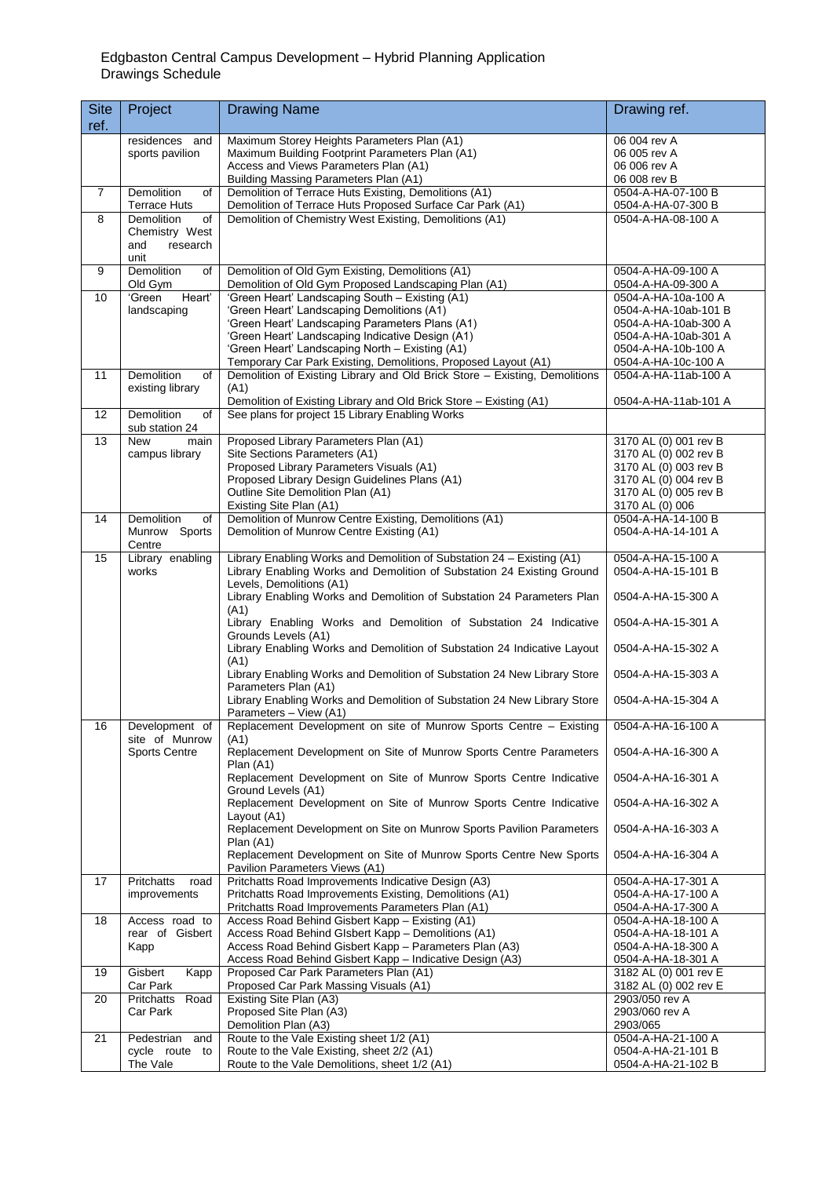## Edgbaston Central Campus Development – Hybrid Planning Application Drawings Schedule

| <b>Site</b><br>ref. | Project                                   | <b>Drawing Name</b>                                                                                                | Drawing ref.                                 |
|---------------------|-------------------------------------------|--------------------------------------------------------------------------------------------------------------------|----------------------------------------------|
|                     | residences and                            | Maximum Storey Heights Parameters Plan (A1)                                                                        | 06 004 rev A                                 |
|                     | sports pavilion                           | Maximum Building Footprint Parameters Plan (A1)<br>Access and Views Parameters Plan (A1)                           | 06 005 rev A<br>06 006 rev A                 |
|                     |                                           | <b>Building Massing Parameters Plan (A1)</b>                                                                       | 06 008 rev B                                 |
| $\overline{7}$      | Demolition<br>of<br><b>Terrace Huts</b>   | Demolition of Terrace Huts Existing, Demolitions (A1)<br>Demolition of Terrace Huts Proposed Surface Car Park (A1) | 0504-A-HA-07-100 B<br>0504-A-HA-07-300 B     |
| 8                   | <b>Demolition</b><br>of                   | Demolition of Chemistry West Existing, Demolitions (A1)                                                            | 0504-A-HA-08-100 A                           |
|                     | Chemistry West<br>research<br>and<br>unit |                                                                                                                    |                                              |
| 9                   | <b>Demolition</b><br>of<br>Old Gym        | Demolition of Old Gym Existing, Demolitions (A1)<br>Demolition of Old Gym Proposed Landscaping Plan (A1)           | 0504-A-HA-09-100 A<br>0504-A-HA-09-300 A     |
| 10                  | 'Green<br>Heart'                          | 'Green Heart' Landscaping South - Existing (A1)                                                                    | 0504-A-HA-10a-100 A                          |
|                     | landscaping                               | 'Green Heart' Landscaping Demolitions (A1)<br>'Green Heart' Landscaping Parameters Plans (A1)                      | 0504-A-HA-10ab-101 B<br>0504-A-HA-10ab-300 A |
|                     |                                           | 'Green Heart' Landscaping Indicative Design (A1)                                                                   | 0504-A-HA-10ab-301 A                         |
|                     |                                           | 'Green Heart' Landscaping North - Existing (A1)                                                                    | 0504-A-HA-10b-100 A                          |
|                     |                                           | Temporary Car Park Existing, Demolitions, Proposed Layout (A1)                                                     | 0504-A-HA-10c-100 A                          |
| 11                  | Demolition<br>of<br>existing library      | Demolition of Existing Library and Old Brick Store - Existing, Demolitions<br>(A1)                                 | 0504-A-HA-11ab-100 A                         |
|                     |                                           | Demolition of Existing Library and Old Brick Store - Existing (A1)                                                 | 0504-A-HA-11ab-101 A                         |
| 12                  | <b>Demolition</b><br>of                   | See plans for project 15 Library Enabling Works                                                                    |                                              |
| 13                  | sub station 24<br><b>New</b><br>main      | Proposed Library Parameters Plan (A1)                                                                              | 3170 AL (0) 001 rev B                        |
|                     | campus library                            | Site Sections Parameters (A1)                                                                                      | 3170 AL (0) 002 rev B                        |
|                     |                                           | Proposed Library Parameters Visuals (A1)                                                                           | 3170 AL (0) 003 rev B                        |
|                     |                                           | Proposed Library Design Guidelines Plans (A1)                                                                      | 3170 AL (0) 004 rev B                        |
|                     |                                           | Outline Site Demolition Plan (A1)                                                                                  | 3170 AL (0) 005 rev B                        |
| 14                  | Demolition<br>of                          | Existing Site Plan (A1)<br>Demolition of Munrow Centre Existing, Demolitions (A1)                                  | 3170 AL (0) 006<br>0504-A-HA-14-100 B        |
|                     | Munrow Sports                             | Demolition of Munrow Centre Existing (A1)                                                                          | 0504-A-HA-14-101 A                           |
| 15                  | Centre<br>Library enabling                | Library Enabling Works and Demolition of Substation 24 - Existing (A1)                                             | 0504-A-HA-15-100 A                           |
|                     | works                                     | Library Enabling Works and Demolition of Substation 24 Existing Ground                                             | 0504-A-HA-15-101 B                           |
|                     |                                           | Levels, Demolitions (A1)<br>Library Enabling Works and Demolition of Substation 24 Parameters Plan<br>(A1)         | 0504-A-HA-15-300 A                           |
|                     |                                           | Library Enabling Works and Demolition of Substation 24 Indicative<br>Grounds Levels (A1)                           | 0504-A-HA-15-301 A                           |
|                     |                                           | Library Enabling Works and Demolition of Substation 24 Indicative Layout<br>(A1)                                   | 0504-A-HA-15-302 A                           |
|                     |                                           | Library Enabling Works and Demolition of Substation 24 New Library Store<br>Parameters Plan (A1)                   | 0504-A-HA-15-303 A                           |
|                     |                                           | Library Enabling Works and Demolition of Substation 24 New Library Store<br>Parameters - View (A1)                 | 0504-A-HA-15-304 A                           |
| 16                  | Development of<br>site of Munrow          | Replacement Development on site of Munrow Sports Centre - Existing<br>(A1)                                         | 0504-A-HA-16-100 A                           |
|                     | <b>Sports Centre</b>                      | Replacement Development on Site of Munrow Sports Centre Parameters<br>Plan (A1)                                    | 0504-A-HA-16-300 A                           |
|                     |                                           | Replacement Development on Site of Munrow Sports Centre Indicative<br>Ground Levels (A1)                           | 0504-A-HA-16-301 A                           |
|                     |                                           | Replacement Development on Site of Munrow Sports Centre Indicative<br>Layout (A1)                                  | 0504-A-HA-16-302 A                           |
|                     |                                           | Replacement Development on Site on Munrow Sports Pavilion Parameters<br>Plan (A1)                                  | 0504-A-HA-16-303 A                           |
|                     |                                           | Replacement Development on Site of Munrow Sports Centre New Sports<br>Pavilion Parameters Views (A1)               | 0504-A-HA-16-304 A                           |
| 17                  | <b>Pritchatts</b><br>road                 | Pritchatts Road Improvements Indicative Design (A3)                                                                | 0504-A-HA-17-301 A                           |
|                     | improvements                              | Pritchatts Road Improvements Existing, Demolitions (A1)<br>Pritchatts Road Improvements Parameters Plan (A1)       | 0504-A-HA-17-100 A<br>0504-A-HA-17-300 A     |
| 18                  | Access road to                            | Access Road Behind Gisbert Kapp - Existing (A1)                                                                    | 0504-A-HA-18-100 A                           |
|                     | rear of Gisbert                           | Access Road Behind Glsbert Kapp - Demolitions (A1)                                                                 | 0504-A-HA-18-101 A                           |
|                     | Kapp                                      | Access Road Behind Gisbert Kapp - Parameters Plan (A3)                                                             | 0504-A-HA-18-300 A                           |
| 19                  | Gisbert<br>Kapp                           | Access Road Behind Gisbert Kapp - Indicative Design (A3)<br>Proposed Car Park Parameters Plan (A1)                 | 0504-A-HA-18-301 A<br>3182 AL (0) 001 rev E  |
|                     | Car Park                                  | Proposed Car Park Massing Visuals (A1)                                                                             | 3182 AL (0) 002 rev E                        |
| 20                  | Road<br>Pritchatts                        | Existing Site Plan (A3)                                                                                            | 2903/050 rev A                               |
|                     | Car Park                                  | Proposed Site Plan (A3)<br>Demolition Plan (A3)                                                                    | 2903/060 rev A<br>2903/065                   |
| 21                  | Pedestrian<br>and                         | Route to the Vale Existing sheet 1/2 (A1)                                                                          | 0504-A-HA-21-100 A                           |
|                     | cycle route to                            | Route to the Vale Existing, sheet 2/2 (A1)                                                                         | 0504-A-HA-21-101 B                           |
|                     | The Vale                                  | Route to the Vale Demolitions, sheet 1/2 (A1)                                                                      | 0504-A-HA-21-102 B                           |